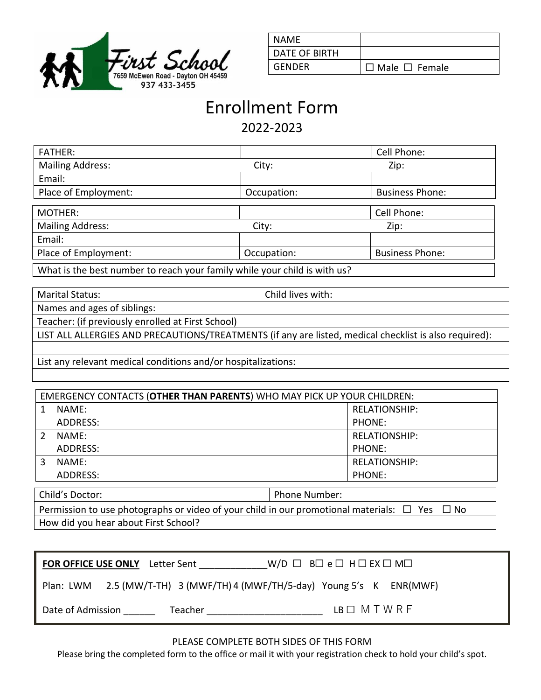

| NAME          |                           |
|---------------|---------------------------|
| DATE OF BIRTH |                           |
| GENDER        | $\Box$ Male $\Box$ Female |

## Enrollment Form 2022-2023

| <b>FATHER:</b>                                                            |             | Cell Phone:            |  |  |
|---------------------------------------------------------------------------|-------------|------------------------|--|--|
| <b>Mailing Address:</b>                                                   | City:       | Zip:                   |  |  |
| Email:                                                                    |             |                        |  |  |
| Place of Employment:                                                      | Occupation: | <b>Business Phone:</b> |  |  |
|                                                                           |             |                        |  |  |
| MOTHER:                                                                   |             | Cell Phone:            |  |  |
| <b>Mailing Address:</b>                                                   | City:       | Zip:                   |  |  |
| Email:                                                                    |             |                        |  |  |
| Place of Employment:                                                      | Occupation: | <b>Business Phone:</b> |  |  |
| What is the best number to reach your family while your child is with us? |             |                        |  |  |

What is the best number to reach your family while your child is with us?

Marital Status: Child lives with:

Names and ages of siblings:

Teacher: (if previously enrolled at First School)

LIST ALL ALLERGIES AND PRECAUTIONS/TREATMENTS (if any are listed, medical checklist is also required):

List any relevant medical conditions and/or hospitalizations:

| <b>EMERGENCY CONTACTS (OTHER THAN PARENTS) WHO MAY PICK UP YOUR CHILDREN:</b> |          |                      |  |  |  |
|-------------------------------------------------------------------------------|----------|----------------------|--|--|--|
|                                                                               | NAME:    | <b>RELATIONSHIP:</b> |  |  |  |
|                                                                               | ADDRESS: | PHONE:               |  |  |  |
|                                                                               | NAME:    | <b>RELATIONSHIP:</b> |  |  |  |
|                                                                               | ADDRESS: | PHONE:               |  |  |  |
|                                                                               | NAME:    | <b>RELATIONSHIP:</b> |  |  |  |
|                                                                               | ADDRESS: | PHONE:               |  |  |  |
|                                                                               |          |                      |  |  |  |

Child's Doctor: Phone Number: Permission to use photographs or video of your child in our promotional materials:  $\Box$  Yes  $\Box$  No How did you hear about First School?

| <b>FOR OFFICE USE ONLY</b> Letter Sent                                   | $W/D \Box B \Box e \Box H \Box EX \Box M \Box$ |
|--------------------------------------------------------------------------|------------------------------------------------|
| Plan: LWM 2.5 (MW/T-TH) 3 (MWF/TH) 4 (MWF/TH/5-day) Young 5's K ENR(MWF) |                                                |
| Date of Admission<br>Teacher                                             | $LB \Box M T W R F$                            |

## PLEASE COMPLETE BOTH SIDES OF THIS FORM

Please bring the completed form to the office or mail it with your registration check to hold your child's spot.